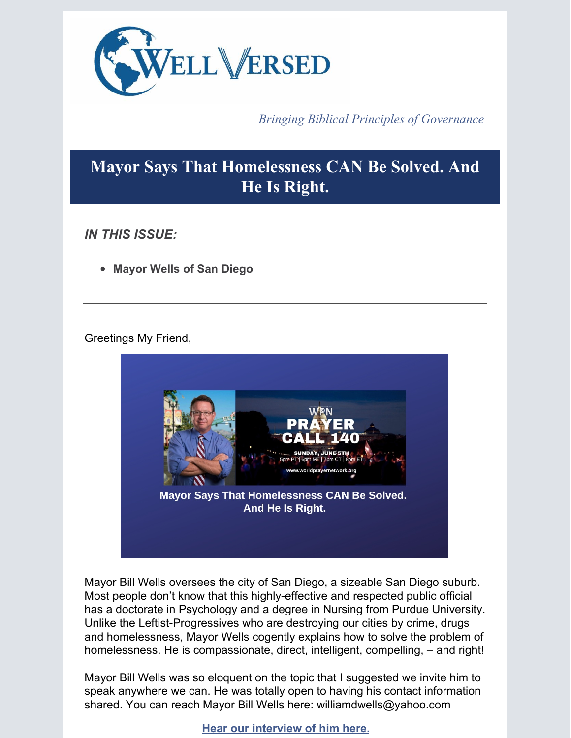

*Bringing Biblical Principles of Governance*

# **Mayor Says That Homelessness CAN Be Solved. And He Is Right.**

*IN THIS ISSUE:*

**Mayor Wells of San Diego**

# Greetings My Friend,



Mayor Bill Wells oversees the city of San Diego, a sizeable San Diego suburb. Most people don't know that this highly-effective and respected public official has a doctorate in Psychology and a degree in Nursing from Purdue University. Unlike the Leftist-Progressives who are destroying our cities by crime, drugs and homelessness, Mayor Wells cogently explains how to solve the problem of homelessness. He is compassionate, direct, intelligent, compelling, – and right!

Mayor Bill Wells was so eloquent on the topic that I suggested we invite him to speak anywhere we can. He was totally open to having his contact information shared. You can reach Mayor Bill Wells here: williamdwells@yahoo.com

**Hear our [interview](https://app.videosquirrel.app/watch/2116) of him here.**